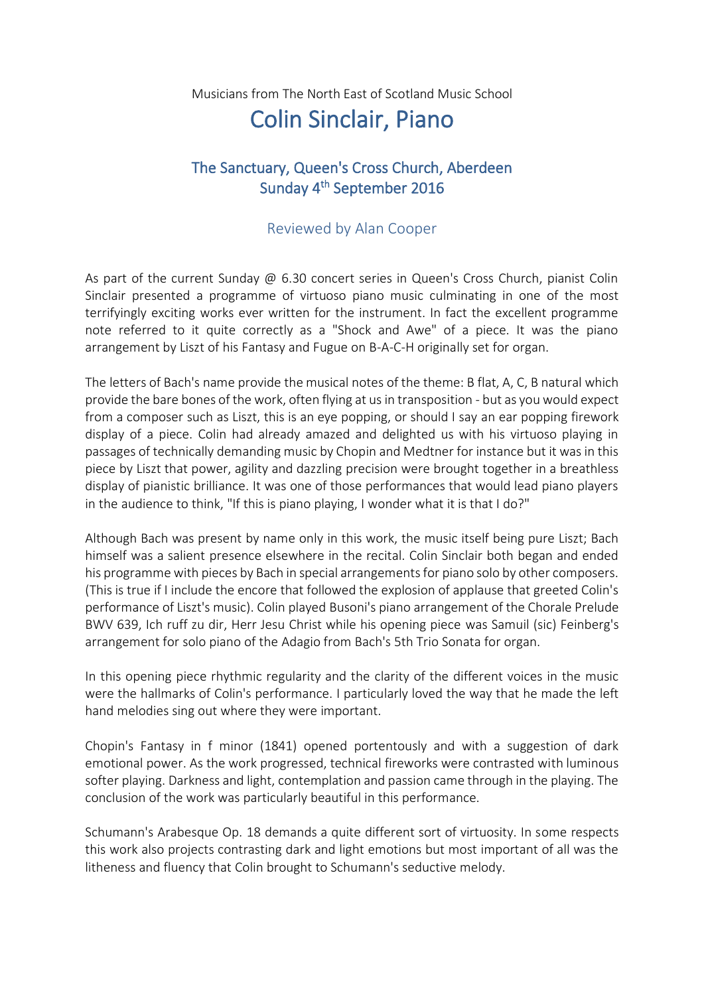Musicians from The North East of Scotland Music School

## Colin Sinclair, Piano

## The Sanctuary, Queen's Cross Church, Aberdeen Sunday 4<sup>th</sup> September 2016

## Reviewed by Alan Cooper

As part of the current Sunday @ 6.30 concert series in Queen's Cross Church, pianist Colin Sinclair presented a programme of virtuoso piano music culminating in one of the most terrifyingly exciting works ever written for the instrument. In fact the excellent programme note referred to it quite correctly as a "Shock and Awe" of a piece. It was the piano arrangement by Liszt of his Fantasy and Fugue on B-A-C-H originally set for organ.

The letters of Bach's name provide the musical notes of the theme: B flat, A, C, B natural which provide the bare bones of the work, often flying at us in transposition - but as you would expect from a composer such as Liszt, this is an eye popping, or should I say an ear popping firework display of a piece. Colin had already amazed and delighted us with his virtuoso playing in passages of technically demanding music by Chopin and Medtner for instance but it was in this piece by Liszt that power, agility and dazzling precision were brought together in a breathless display of pianistic brilliance. It was one of those performances that would lead piano players in the audience to think, "If this is piano playing, I wonder what it is that I do?"

Although Bach was present by name only in this work, the music itself being pure Liszt; Bach himself was a salient presence elsewhere in the recital. Colin Sinclair both began and ended his programme with pieces by Bach in special arrangements for piano solo by other composers. (This is true if I include the encore that followed the explosion of applause that greeted Colin's performance of Liszt's music). Colin played Busoni's piano arrangement of the Chorale Prelude BWV 639, Ich ruff zu dir, Herr Jesu Christ while his opening piece was Samuil (sic) Feinberg's arrangement for solo piano of the Adagio from Bach's 5th Trio Sonata for organ.

In this opening piece rhythmic regularity and the clarity of the different voices in the music were the hallmarks of Colin's performance. I particularly loved the way that he made the left hand melodies sing out where they were important.

Chopin's Fantasy in f minor (1841) opened portentously and with a suggestion of dark emotional power. As the work progressed, technical fireworks were contrasted with luminous softer playing. Darkness and light, contemplation and passion came through in the playing. The conclusion of the work was particularly beautiful in this performance.

Schumann's Arabesque Op. 18 demands a quite different sort of virtuosity. In some respects this work also projects contrasting dark and light emotions but most important of all was the litheness and fluency that Colin brought to Schumann's seductive melody.